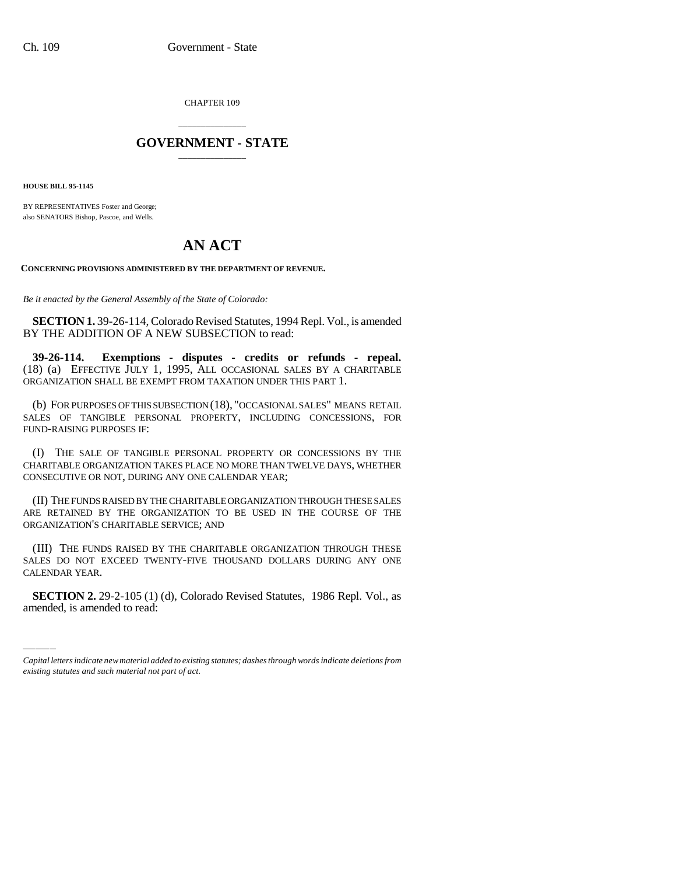CHAPTER 109

## \_\_\_\_\_\_\_\_\_\_\_\_\_\_\_ **GOVERNMENT - STATE** \_\_\_\_\_\_\_\_\_\_\_\_\_\_\_

**HOUSE BILL 95-1145**

BY REPRESENTATIVES Foster and George; also SENATORS Bishop, Pascoe, and Wells.

## **AN ACT**

**CONCERNING PROVISIONS ADMINISTERED BY THE DEPARTMENT OF REVENUE.**

*Be it enacted by the General Assembly of the State of Colorado:*

**SECTION 1.** 39-26-114, Colorado Revised Statutes, 1994 Repl. Vol., is amended BY THE ADDITION OF A NEW SUBSECTION to read:

**39-26-114. Exemptions - disputes - credits or refunds - repeal.** (18) (a) EFFECTIVE JULY 1, 1995, ALL OCCASIONAL SALES BY A CHARITABLE ORGANIZATION SHALL BE EXEMPT FROM TAXATION UNDER THIS PART 1.

(b) FOR PURPOSES OF THIS SUBSECTION (18), "OCCASIONAL SALES" MEANS RETAIL SALES OF TANGIBLE PERSONAL PROPERTY, INCLUDING CONCESSIONS, FOR FUND-RAISING PURPOSES IF:

(I) THE SALE OF TANGIBLE PERSONAL PROPERTY OR CONCESSIONS BY THE CHARITABLE ORGANIZATION TAKES PLACE NO MORE THAN TWELVE DAYS, WHETHER CONSECUTIVE OR NOT, DURING ANY ONE CALENDAR YEAR;

(II) THE FUNDS RAISED BY THE CHARITABLE ORGANIZATION THROUGH THESE SALES ARE RETAINED BY THE ORGANIZATION TO BE USED IN THE COURSE OF THE ORGANIZATION'S CHARITABLE SERVICE; AND

SALES DO NOT I<br>CALENDAR YEAR. (III) THE FUNDS RAISED BY THE CHARITABLE ORGANIZATION THROUGH THESE SALES DO NOT EXCEED TWENTY-FIVE THOUSAND DOLLARS DURING ANY ONE

**SECTION 2.** 29-2-105 (1) (d), Colorado Revised Statutes, 1986 Repl. Vol., as amended, is amended to read:

*Capital letters indicate new material added to existing statutes; dashes through words indicate deletions from existing statutes and such material not part of act.*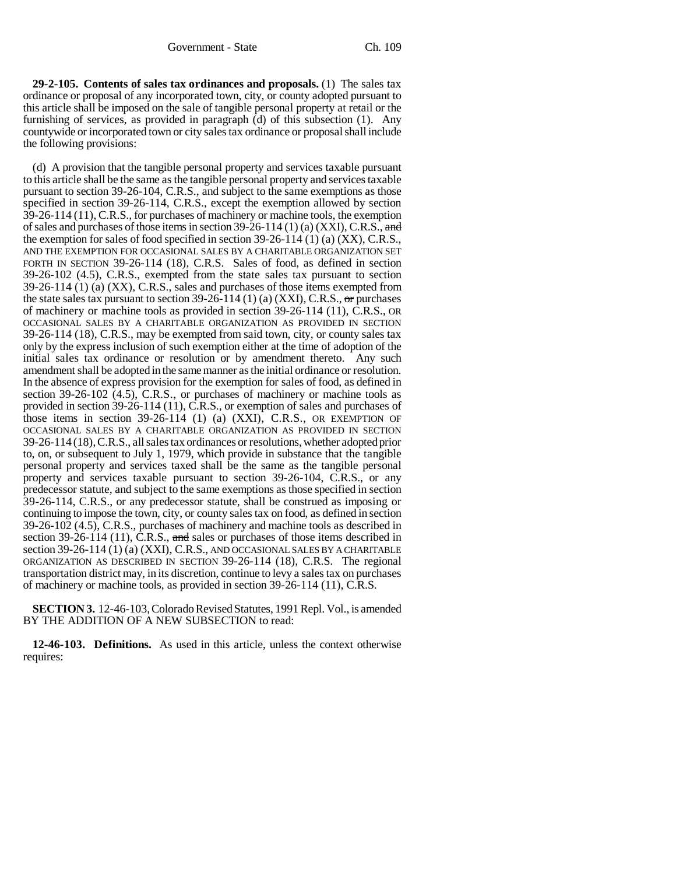**29-2-105. Contents of sales tax ordinances and proposals.** (1) The sales tax ordinance or proposal of any incorporated town, city, or county adopted pursuant to this article shall be imposed on the sale of tangible personal property at retail or the furnishing of services, as provided in paragraph (d) of this subsection (1). Any countywide or incorporated town or city sales tax ordinance or proposal shall include the following provisions:

(d) A provision that the tangible personal property and services taxable pursuant to this article shall be the same as the tangible personal property and services taxable pursuant to section 39-26-104, C.R.S., and subject to the same exemptions as those specified in section 39-26-114, C.R.S., except the exemption allowed by section 39-26-114 (11), C.R.S., for purchases of machinery or machine tools, the exemption of sales and purchases of those items in section  $39-26-114$  (1) (a) (XXI), C.R.S., and the exemption for sales of food specified in section 39-26-114 (1) (a) (XX), C.R.S., AND THE EXEMPTION FOR OCCASIONAL SALES BY A CHARITABLE ORGANIZATION SET FORTH IN SECTION 39-26-114 (18), C.R.S. Sales of food, as defined in section 39-26-102 (4.5), C.R.S., exempted from the state sales tax pursuant to section 39-26-114 (1) (a) (XX), C.R.S., sales and purchases of those items exempted from the state sales tax pursuant to section 39-26-114 (1) (a) (XXI), C.R.S.,  $\sigma$ r purchases of machinery or machine tools as provided in section 39-26-114 (11), C.R.S., OR OCCASIONAL SALES BY A CHARITABLE ORGANIZATION AS PROVIDED IN SECTION 39-26-114 (18), C.R.S., may be exempted from said town, city, or county sales tax only by the express inclusion of such exemption either at the time of adoption of the initial sales tax ordinance or resolution or by amendment thereto. Any such amendment shall be adopted in the same manner as the initial ordinance or resolution. In the absence of express provision for the exemption for sales of food, as defined in section  $39-26-102$  (4.5), C.R.S., or purchases of machinery or machine tools as provided in section 39-26-114 (11), C.R.S., or exemption of sales and purchases of those items in section 39-26-114 (1) (a) (XXI), C.R.S., OR EXEMPTION OF OCCASIONAL SALES BY A CHARITABLE ORGANIZATION AS PROVIDED IN SECTION 39-26-114 (18), C.R.S., all sales tax ordinances or resolutions, whether adopted prior to, on, or subsequent to July 1, 1979, which provide in substance that the tangible personal property and services taxed shall be the same as the tangible personal property and services taxable pursuant to section 39-26-104, C.R.S., or any predecessor statute, and subject to the same exemptions as those specified in section 39-26-114, C.R.S., or any predecessor statute, shall be construed as imposing or continuing to impose the town, city, or county sales tax on food, as defined in section 39-26-102 (4.5), C.R.S., purchases of machinery and machine tools as described in section 39-26-114 (11), C.R.S., and sales or purchases of those items described in section 39-26-114 (1) (a) (XXI), C.R.S., AND OCCASIONAL SALES BY A CHARITABLE ORGANIZATION AS DESCRIBED IN SECTION 39-26-114 (18), C.R.S. The regional transportation district may, in its discretion, continue to levy a sales tax on purchases of machinery or machine tools, as provided in section 39-26-114 (11), C.R.S.

**SECTION 3.** 12-46-103, Colorado Revised Statutes, 1991 Repl. Vol., is amended BY THE ADDITION OF A NEW SUBSECTION to read:

**12-46-103. Definitions.** As used in this article, unless the context otherwise requires: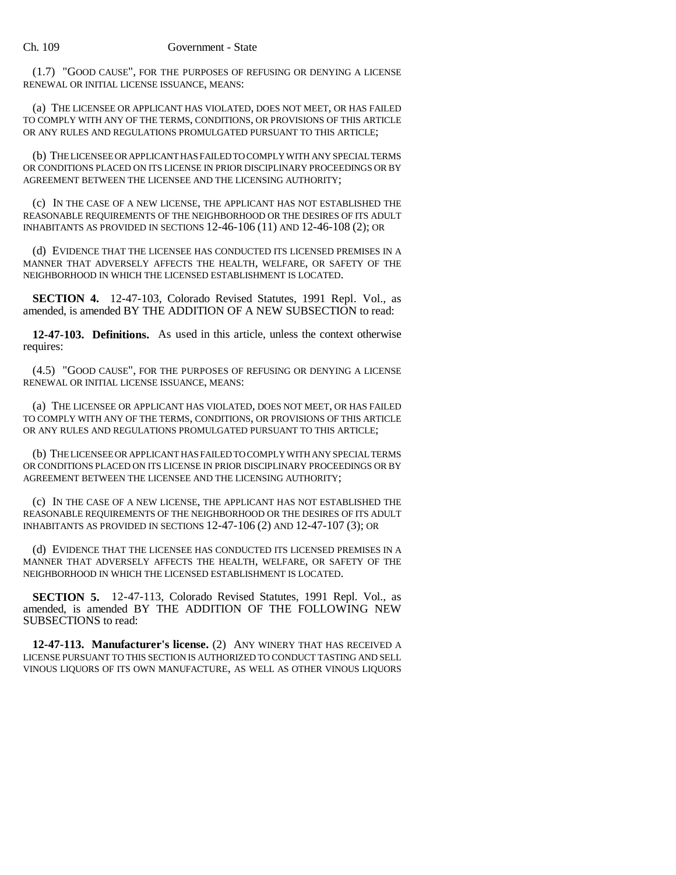(1.7) "GOOD CAUSE", FOR THE PURPOSES OF REFUSING OR DENYING A LICENSE RENEWAL OR INITIAL LICENSE ISSUANCE, MEANS:

(a) THE LICENSEE OR APPLICANT HAS VIOLATED, DOES NOT MEET, OR HAS FAILED TO COMPLY WITH ANY OF THE TERMS, CONDITIONS, OR PROVISIONS OF THIS ARTICLE OR ANY RULES AND REGULATIONS PROMULGATED PURSUANT TO THIS ARTICLE;

(b) THE LICENSEE OR APPLICANT HAS FAILED TO COMPLY WITH ANY SPECIAL TERMS OR CONDITIONS PLACED ON ITS LICENSE IN PRIOR DISCIPLINARY PROCEEDINGS OR BY AGREEMENT BETWEEN THE LICENSEE AND THE LICENSING AUTHORITY;

(c) IN THE CASE OF A NEW LICENSE, THE APPLICANT HAS NOT ESTABLISHED THE REASONABLE REQUIREMENTS OF THE NEIGHBORHOOD OR THE DESIRES OF ITS ADULT INHABITANTS AS PROVIDED IN SECTIONS 12-46-106 (11) AND 12-46-108 (2); OR

(d) EVIDENCE THAT THE LICENSEE HAS CONDUCTED ITS LICENSED PREMISES IN A MANNER THAT ADVERSELY AFFECTS THE HEALTH, WELFARE, OR SAFETY OF THE NEIGHBORHOOD IN WHICH THE LICENSED ESTABLISHMENT IS LOCATED.

**SECTION 4.** 12-47-103, Colorado Revised Statutes, 1991 Repl. Vol., as amended, is amended BY THE ADDITION OF A NEW SUBSECTION to read:

**12-47-103. Definitions.** As used in this article, unless the context otherwise requires:

(4.5) "GOOD CAUSE", FOR THE PURPOSES OF REFUSING OR DENYING A LICENSE RENEWAL OR INITIAL LICENSE ISSUANCE, MEANS:

(a) THE LICENSEE OR APPLICANT HAS VIOLATED, DOES NOT MEET, OR HAS FAILED TO COMPLY WITH ANY OF THE TERMS, CONDITIONS, OR PROVISIONS OF THIS ARTICLE OR ANY RULES AND REGULATIONS PROMULGATED PURSUANT TO THIS ARTICLE;

(b) THE LICENSEE OR APPLICANT HAS FAILED TO COMPLY WITH ANY SPECIAL TERMS OR CONDITIONS PLACED ON ITS LICENSE IN PRIOR DISCIPLINARY PROCEEDINGS OR BY AGREEMENT BETWEEN THE LICENSEE AND THE LICENSING AUTHORITY;

(c) IN THE CASE OF A NEW LICENSE, THE APPLICANT HAS NOT ESTABLISHED THE REASONABLE REQUIREMENTS OF THE NEIGHBORHOOD OR THE DESIRES OF ITS ADULT INHABITANTS AS PROVIDED IN SECTIONS 12-47-106 (2) AND 12-47-107 (3); OR

(d) EVIDENCE THAT THE LICENSEE HAS CONDUCTED ITS LICENSED PREMISES IN A MANNER THAT ADVERSELY AFFECTS THE HEALTH, WELFARE, OR SAFETY OF THE NEIGHBORHOOD IN WHICH THE LICENSED ESTABLISHMENT IS LOCATED.

**SECTION 5.** 12-47-113, Colorado Revised Statutes, 1991 Repl. Vol., as amended, is amended BY THE ADDITION OF THE FOLLOWING NEW SUBSECTIONS to read:

**12-47-113. Manufacturer's license.** (2) ANY WINERY THAT HAS RECEIVED A LICENSE PURSUANT TO THIS SECTION IS AUTHORIZED TO CONDUCT TASTING AND SELL VINOUS LIQUORS OF ITS OWN MANUFACTURE, AS WELL AS OTHER VINOUS LIQUORS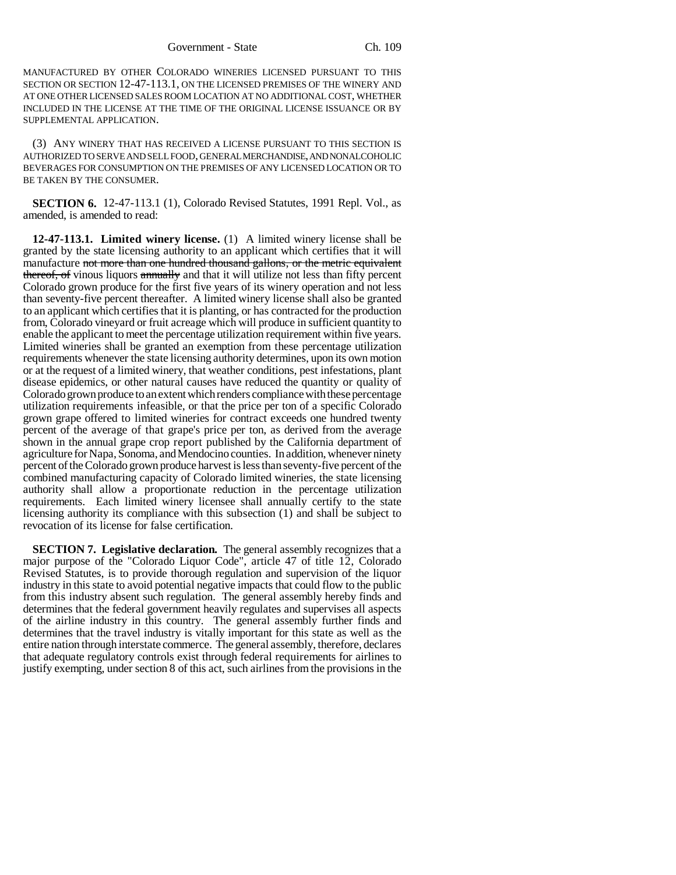MANUFACTURED BY OTHER COLORADO WINERIES LICENSED PURSUANT TO THIS SECTION OR SECTION 12-47-113.1, ON THE LICENSED PREMISES OF THE WINERY AND AT ONE OTHER LICENSED SALES ROOM LOCATION AT NO ADDITIONAL COST, WHETHER INCLUDED IN THE LICENSE AT THE TIME OF THE ORIGINAL LICENSE ISSUANCE OR BY SUPPLEMENTAL APPLICATION.

(3) ANY WINERY THAT HAS RECEIVED A LICENSE PURSUANT TO THIS SECTION IS AUTHORIZED TO SERVE AND SELL FOOD, GENERAL MERCHANDISE, AND NONALCOHOLIC BEVERAGES FOR CONSUMPTION ON THE PREMISES OF ANY LICENSED LOCATION OR TO BE TAKEN BY THE CONSUMER.

**SECTION 6.** 12-47-113.1 (1), Colorado Revised Statutes, 1991 Repl. Vol., as amended, is amended to read:

**12-47-113.1. Limited winery license.** (1) A limited winery license shall be granted by the state licensing authority to an applicant which certifies that it will manufacture not more than one hundred thousand gallons, or the metric equivalent thereof, of vinous liquors annually and that it will utilize not less than fifty percent Colorado grown produce for the first five years of its winery operation and not less than seventy-five percent thereafter. A limited winery license shall also be granted to an applicant which certifies that it is planting, or has contracted for the production from, Colorado vineyard or fruit acreage which will produce in sufficient quantity to enable the applicant to meet the percentage utilization requirement within five years. Limited wineries shall be granted an exemption from these percentage utilization requirements whenever the state licensing authority determines, upon its own motion or at the request of a limited winery, that weather conditions, pest infestations, plant disease epidemics, or other natural causes have reduced the quantity or quality of Colorado grown produce to an extent which renders compliance with these percentage utilization requirements infeasible, or that the price per ton of a specific Colorado grown grape offered to limited wineries for contract exceeds one hundred twenty percent of the average of that grape's price per ton, as derived from the average shown in the annual grape crop report published by the California department of agriculture for Napa, Sonoma, and Mendocino counties. In addition, whenever ninety percent of the Colorado grown produce harvest is less than seventy-five percent of the combined manufacturing capacity of Colorado limited wineries, the state licensing authority shall allow a proportionate reduction in the percentage utilization requirements. Each limited winery licensee shall annually certify to the state licensing authority its compliance with this subsection (1) and shall be subject to revocation of its license for false certification.

**SECTION 7. Legislative declaration.** The general assembly recognizes that a major purpose of the "Colorado Liquor Code", article 47 of title 12, Colorado Revised Statutes, is to provide thorough regulation and supervision of the liquor industry in this state to avoid potential negative impacts that could flow to the public from this industry absent such regulation. The general assembly hereby finds and determines that the federal government heavily regulates and supervises all aspects of the airline industry in this country. The general assembly further finds and determines that the travel industry is vitally important for this state as well as the entire nation through interstate commerce. The general assembly, therefore, declares that adequate regulatory controls exist through federal requirements for airlines to justify exempting, under section 8 of this act, such airlines from the provisions in the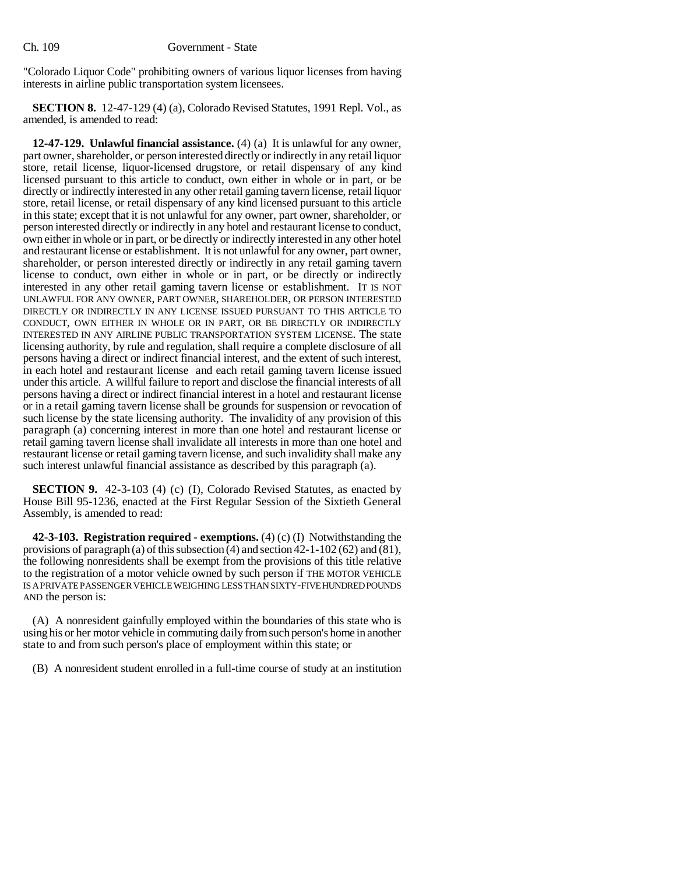"Colorado Liquor Code" prohibiting owners of various liquor licenses from having interests in airline public transportation system licensees.

**SECTION 8.** 12-47-129 (4) (a), Colorado Revised Statutes, 1991 Repl. Vol., as amended, is amended to read:

**12-47-129. Unlawful financial assistance.** (4) (a) It is unlawful for any owner, part owner, shareholder, or person interested directly or indirectly in any retail liquor store, retail license, liquor-licensed drugstore, or retail dispensary of any kind licensed pursuant to this article to conduct, own either in whole or in part, or be directly or indirectly interested in any other retail gaming tavern license, retail liquor store, retail license, or retail dispensary of any kind licensed pursuant to this article in this state; except that it is not unlawful for any owner, part owner, shareholder, or person interested directly or indirectly in any hotel and restaurant license to conduct, own either in whole or in part, or be directly or indirectly interested in any other hotel and restaurant license or establishment. It is not unlawful for any owner, part owner, shareholder, or person interested directly or indirectly in any retail gaming tavern license to conduct, own either in whole or in part, or be directly or indirectly interested in any other retail gaming tavern license or establishment. IT IS NOT UNLAWFUL FOR ANY OWNER, PART OWNER, SHAREHOLDER, OR PERSON INTERESTED DIRECTLY OR INDIRECTLY IN ANY LICENSE ISSUED PURSUANT TO THIS ARTICLE TO CONDUCT, OWN EITHER IN WHOLE OR IN PART, OR BE DIRECTLY OR INDIRECTLY INTERESTED IN ANY AIRLINE PUBLIC TRANSPORTATION SYSTEM LICENSE. The state licensing authority, by rule and regulation, shall require a complete disclosure of all persons having a direct or indirect financial interest, and the extent of such interest, in each hotel and restaurant license and each retail gaming tavern license issued under this article. A willful failure to report and disclose the financial interests of all persons having a direct or indirect financial interest in a hotel and restaurant license or in a retail gaming tavern license shall be grounds for suspension or revocation of such license by the state licensing authority. The invalidity of any provision of this paragraph (a) concerning interest in more than one hotel and restaurant license or retail gaming tavern license shall invalidate all interests in more than one hotel and restaurant license or retail gaming tavern license, and such invalidity shall make any such interest unlawful financial assistance as described by this paragraph (a).

**SECTION 9.** 42-3-103 (4) (c) (I), Colorado Revised Statutes, as enacted by House Bill 95-1236, enacted at the First Regular Session of the Sixtieth General Assembly, is amended to read:

**42-3-103. Registration required - exemptions.** (4) (c) (I) Notwithstanding the provisions of paragraph (a) of this subsection (4) and section 42-1-102 (62) and (81), the following nonresidents shall be exempt from the provisions of this title relative to the registration of a motor vehicle owned by such person if THE MOTOR VEHICLE IS A PRIVATE PASSENGER VEHICLE WEIGHING LESS THAN SIXTY-FIVE HUNDRED POUNDS AND the person is:

(A) A nonresident gainfully employed within the boundaries of this state who is using his or her motor vehicle in commuting daily from such person's home in another state to and from such person's place of employment within this state; or

(B) A nonresident student enrolled in a full-time course of study at an institution